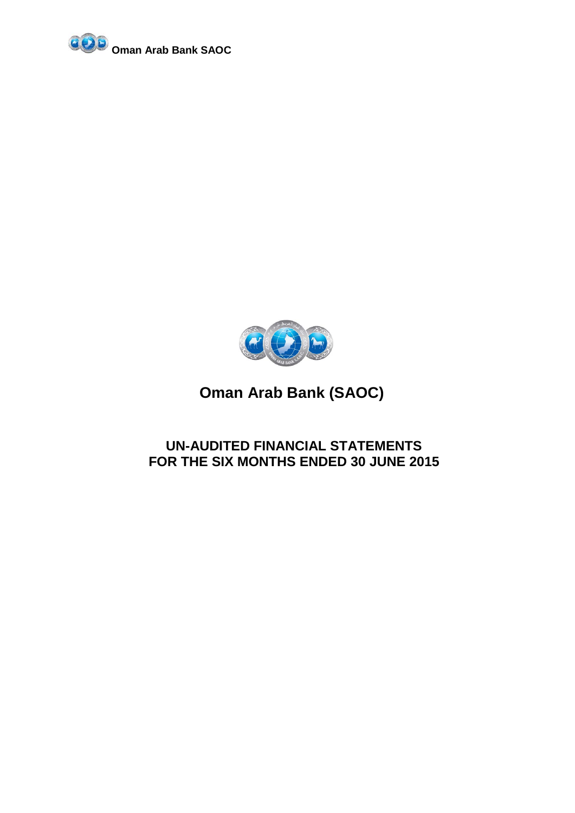



### **UN-AUDITED FINANCIAL STATEMENTS FOR THE SIX MONTHS ENDED 30 JUNE 2015**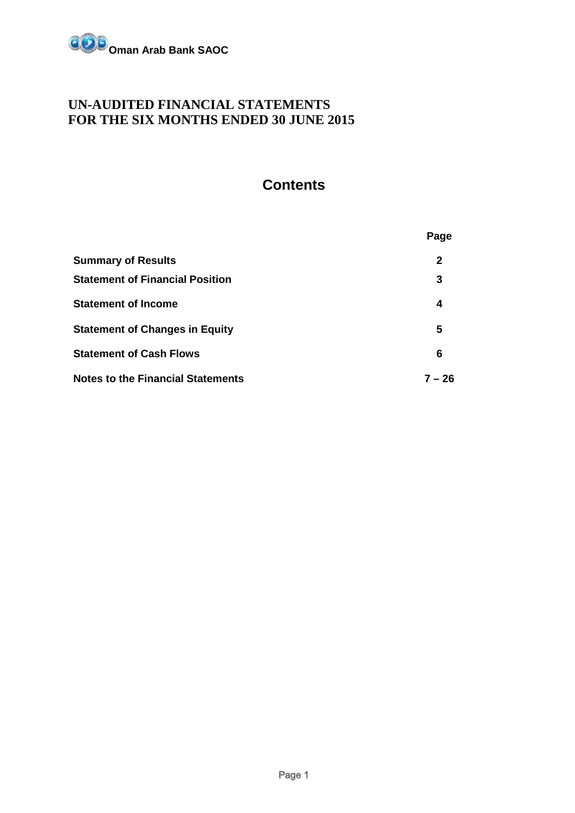

### **UN-AUDITED FINANCIAL STATEMENTS FOR THE SIX MONTHS ENDED 30 JUNE 2015**

### **Contents**

|                                          | Page     |
|------------------------------------------|----------|
| <b>Summary of Results</b>                | 2        |
| <b>Statement of Financial Position</b>   | 3        |
| <b>Statement of Income</b>               | 4        |
| <b>Statement of Changes in Equity</b>    | 5        |
| <b>Statement of Cash Flows</b>           | 6        |
| <b>Notes to the Financial Statements</b> | $7 - 26$ |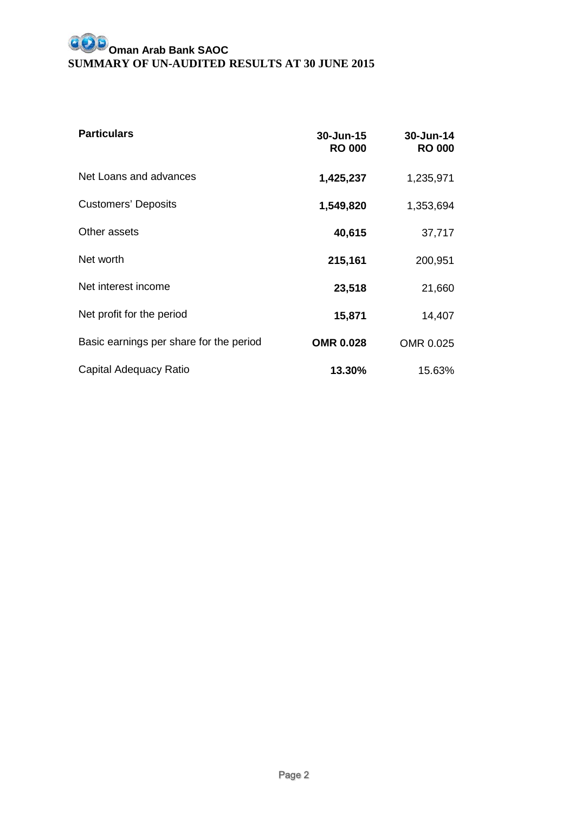### **Oman Arab Bank SAOC SUMMARY OF UN-AUDITED RESULTS AT 30 JUNE 2015**

| <b>Particulars</b>                      | 30-Jun-15<br><b>RO 000</b> | 30-Jun-14<br><b>RO 000</b> |
|-----------------------------------------|----------------------------|----------------------------|
| Net Loans and advances                  | 1,425,237                  | 1,235,971                  |
| <b>Customers' Deposits</b>              | 1,549,820                  | 1,353,694                  |
| Other assets                            | 40,615                     | 37,717                     |
| Net worth                               | 215,161                    | 200,951                    |
| Net interest income                     | 23,518                     | 21,660                     |
| Net profit for the period               | 15,871                     | 14,407                     |
| Basic earnings per share for the period | <b>OMR 0.028</b>           | OMR 0.025                  |
| Capital Adequacy Ratio                  | 13.30%                     | 15.63%                     |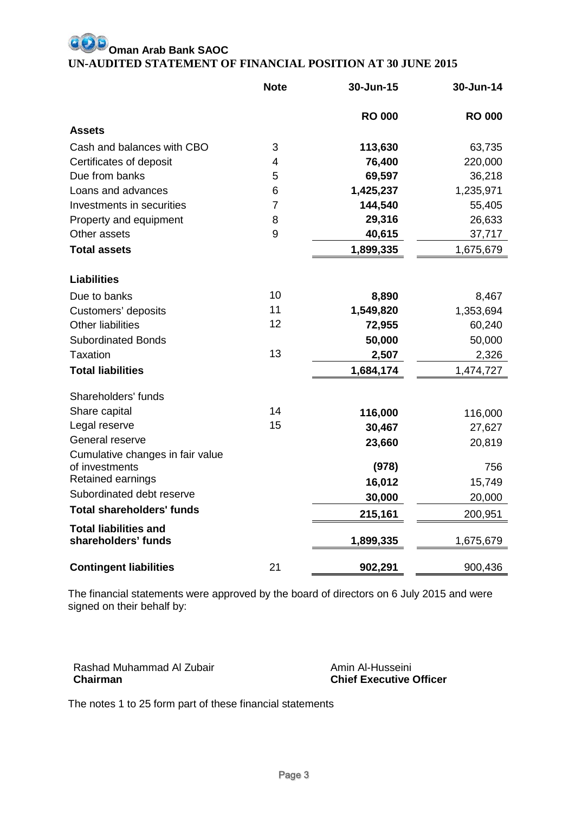### **Oman Arab Bank SAOC UN-AUDITED STATEMENT OF FINANCIAL POSITION AT 30 JUNE 2015**

|                                  | <b>Note</b>    | 30-Jun-15     | 30-Jun-14     |
|----------------------------------|----------------|---------------|---------------|
|                                  |                | <b>RO 000</b> | <b>RO 000</b> |
| <b>Assets</b>                    |                |               |               |
| Cash and balances with CBO       | 3              | 113,630       | 63,735        |
| Certificates of deposit          | 4              | 76,400        | 220,000       |
| Due from banks                   | 5              | 69,597        | 36,218        |
| Loans and advances               | 6              | 1,425,237     | 1,235,971     |
| Investments in securities        | 7              | 144,540       | 55,405        |
| Property and equipment           | 8              | 29,316        | 26,633        |
| Other assets                     | $\overline{9}$ | 40,615        | 37,717        |
| <b>Total assets</b>              |                | 1,899,335     | 1,675,679     |
| <b>Liabilities</b>               |                |               |               |
|                                  | 10             |               |               |
| Due to banks                     | 11             | 8,890         | 8,467         |
| Customers' deposits              | 12             | 1,549,820     | 1,353,694     |
| <b>Other liabilities</b>         |                | 72,955        | 60,240        |
| <b>Subordinated Bonds</b>        | 13             | 50,000        | 50,000        |
| <b>Taxation</b>                  |                | 2,507         | 2,326         |
| <b>Total liabilities</b>         |                | 1,684,174     | 1,474,727     |
| Shareholders' funds              |                |               |               |
| Share capital                    | 14             | 116,000       | 116,000       |
| Legal reserve                    | 15             | 30,467        | 27,627        |
| General reserve                  |                | 23,660        | 20,819        |
| Cumulative changes in fair value |                |               |               |
| of investments                   |                | (978)         | 756           |
| Retained earnings                |                | 16,012        | 15,749        |
| Subordinated debt reserve        |                | 30,000        | 20,000        |
| <b>Total shareholders' funds</b> |                | 215,161       | 200,951       |
| <b>Total liabilities and</b>     |                |               |               |
| shareholders' funds              |                | 1,899,335     | 1,675,679     |
| <b>Contingent liabilities</b>    | 21             | 902,291       | 900,436       |

The financial statements were approved by the board of directors on 6 July 2015 and were signed on their behalf by:

Rashad Muhammad Al Zubair **Chairman**

Amin Al-Husseini **Chief Executive Officer**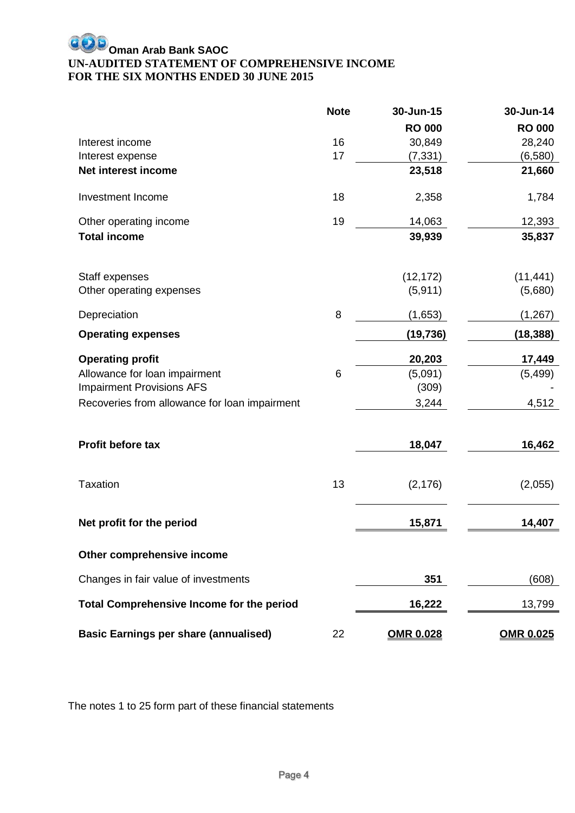### **Oman Arab Bank SAOC UN-AUDITED STATEMENT OF COMPREHENSIVE INCOME FOR THE SIX MONTHS ENDED 30 JUNE 2015**

|                                                  | <b>Note</b>     | 30-Jun-15        | 30-Jun-14        |
|--------------------------------------------------|-----------------|------------------|------------------|
|                                                  |                 | <b>RO 000</b>    | <b>RO 000</b>    |
| Interest income                                  | 16              | 30,849           | 28,240           |
| Interest expense                                 | 17              | (7, 331)         | (6,580)          |
| Net interest income                              |                 | 23,518           | 21,660           |
| Investment Income                                | 18              | 2,358            | 1,784            |
| Other operating income                           | 19              | 14,063           | 12,393           |
| <b>Total income</b>                              |                 | 39,939           | 35,837           |
| Staff expenses                                   |                 | (12, 172)        | (11, 441)        |
| Other operating expenses                         |                 | (5, 911)         | (5,680)          |
| Depreciation                                     | 8               | (1,653)          | (1, 267)         |
| <b>Operating expenses</b>                        |                 | (19,736)         | (18, 388)        |
| <b>Operating profit</b>                          |                 | 20,203           | 17,449           |
| Allowance for loan impairment                    | $6\phantom{1}6$ | (5,091)          | (5, 499)         |
| <b>Impairment Provisions AFS</b>                 |                 | (309)            |                  |
| Recoveries from allowance for loan impairment    |                 | 3,244            | 4,512            |
| Profit before tax                                |                 | 18,047           | 16,462           |
| <b>Taxation</b>                                  | 13              | (2, 176)         | (2,055)          |
| Net profit for the period                        |                 | 15,871           | 14,407           |
| Other comprehensive income                       |                 |                  |                  |
| Changes in fair value of investments             |                 | 351              | (608)            |
| <b>Total Comprehensive Income for the period</b> |                 | 16,222           | 13,799           |
| <b>Basic Earnings per share (annualised)</b>     | 22              | <b>OMR 0.028</b> | <b>OMR 0.025</b> |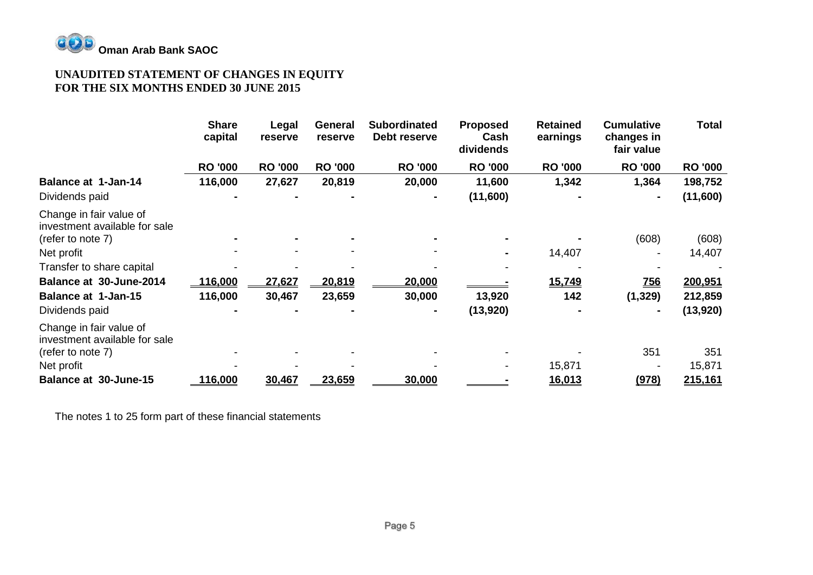

#### **UNAUDITED STATEMENT OF CHANGES IN EQUITY FOR THE SIX MONTHS ENDED 30 JUNE 2015**

|                                                          | <b>Share</b><br>capital | Legal<br>reserve | General<br>reserve | <b>Subordinated</b><br>Debt reserve | <b>Proposed</b><br>Cash<br>dividends | <b>Retained</b><br>earnings | <b>Cumulative</b><br>changes in<br>fair value | <b>Total</b>   |
|----------------------------------------------------------|-------------------------|------------------|--------------------|-------------------------------------|--------------------------------------|-----------------------------|-----------------------------------------------|----------------|
|                                                          | <b>RO '000</b>          | <b>RO '000</b>   | <b>RO '000</b>     | <b>RO '000</b>                      | <b>RO '000</b>                       | <b>RO '000</b>              | <b>RO '000</b>                                | <b>RO '000</b> |
| <b>Balance at 1-Jan-14</b>                               | 116,000                 | 27,627           | 20,819             | 20,000                              | 11,600                               | 1,342                       | 1,364                                         | 198,752        |
| Dividends paid                                           |                         |                  |                    |                                     | (11,600)                             |                             |                                               | (11,600)       |
| Change in fair value of<br>investment available for sale |                         |                  |                    |                                     |                                      |                             |                                               |                |
| (refer to note 7)                                        |                         |                  |                    |                                     |                                      |                             | (608)                                         | (608)          |
| Net profit                                               |                         |                  |                    |                                     |                                      | 14,407                      |                                               | 14,407         |
| Transfer to share capital                                |                         |                  |                    |                                     |                                      |                             |                                               |                |
| Balance at 30-June-2014                                  | 116,000                 | 27,627           | 20,819             | 20,000                              |                                      | 15,749                      | <u>756</u>                                    | 200,951        |
| <b>Balance at 1-Jan-15</b>                               | 116,000                 | 30,467           | 23,659             | 30,000                              | 13,920                               | 142                         | (1, 329)                                      | 212,859        |
| Dividends paid                                           |                         |                  |                    |                                     | (13,920)                             |                             |                                               | (13,920)       |
| Change in fair value of<br>investment available for sale |                         |                  |                    |                                     |                                      |                             |                                               |                |
| (refer to note 7)                                        |                         |                  |                    |                                     |                                      |                             | 351                                           | 351            |
| Net profit                                               |                         |                  |                    |                                     |                                      | 15,871                      |                                               | 15,871         |
| Balance at 30-June-15                                    | <u> 116,000</u>         | 30,467           | <u>23,659</u>      | 30,000                              |                                      | 16,013                      | (978)                                         | 215,161        |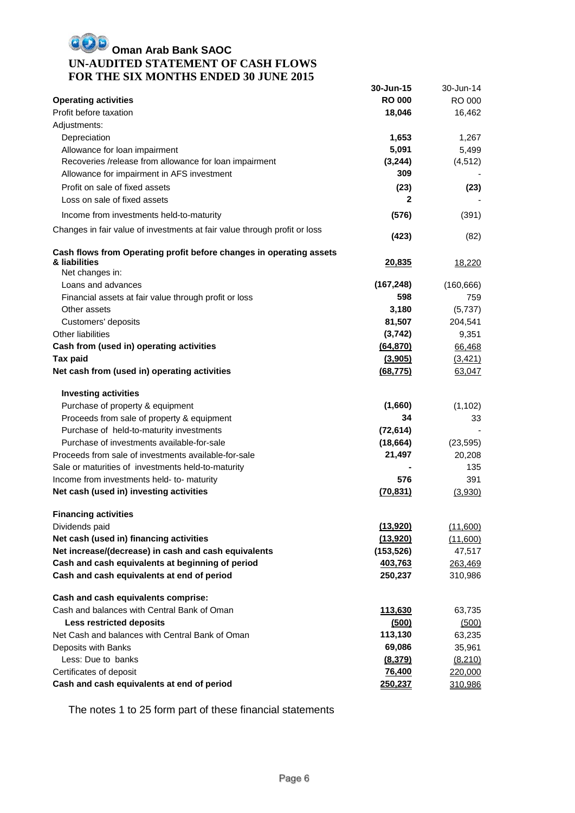### **Oman Arab Bank SAOC UN-AUDITED STATEMENT OF CASH FLOWS FOR THE SIX MONTHS ENDED 30 JUNE 2015**

|                                                                           | 30-Jun-15     | 30-Jun-14       |
|---------------------------------------------------------------------------|---------------|-----------------|
| <b>Operating activities</b>                                               | <b>RO 000</b> | RO 000          |
| Profit before taxation                                                    | 18,046        | 16,462          |
| Adjustments:                                                              |               |                 |
| Depreciation                                                              | 1,653         | 1,267           |
| Allowance for loan impairment                                             | 5,091         | 5,499           |
| Recoveries /release from allowance for loan impairment                    | (3,244)       | (4, 512)        |
| Allowance for impairment in AFS investment                                | 309           |                 |
| Profit on sale of fixed assets                                            | (23)          | (23)            |
| Loss on sale of fixed assets                                              | 2             |                 |
| Income from investments held-to-maturity                                  | (576)         | (391)           |
| Changes in fair value of investments at fair value through profit or loss |               |                 |
|                                                                           | (423)         | (82)            |
| Cash flows from Operating profit before changes in operating assets       |               |                 |
| & liabilities                                                             | 20,835        | 18,220          |
| Net changes in:                                                           |               |                 |
| Loans and advances                                                        | (167, 248)    | (160, 666)      |
| Financial assets at fair value through profit or loss                     | 598           | 759             |
| Other assets                                                              | 3,180         | (5,737)         |
| Customers' deposits                                                       | 81,507        | 204,541         |
| Other liabilities                                                         | (3, 742)      | 9,351           |
| Cash from (used in) operating activities                                  | (64, 870)     | 66,468          |
| <b>Tax paid</b>                                                           | (3,905)       | (3,421)         |
| Net cash from (used in) operating activities                              | (68, 775)     | 63,047          |
| <b>Investing activities</b>                                               |               |                 |
| Purchase of property & equipment                                          | (1,660)       | (1, 102)        |
| Proceeds from sale of property & equipment                                | 34            | 33              |
| Purchase of held-to-maturity investments                                  | (72, 614)     |                 |
| Purchase of investments available-for-sale                                | (18, 664)     | (23, 595)       |
| Proceeds from sale of investments available-for-sale                      | 21,497        | 20,208          |
| Sale or maturities of investments held-to-maturity                        |               | 135             |
| Income from investments held- to- maturity                                | 576           | 391             |
| Net cash (used in) investing activities                                   | (70, 831)     | (3,930)         |
| <b>Financing activities</b>                                               |               |                 |
| Dividends paid                                                            | (13,920)      | (11,600)        |
| Net cash (used in) financing activities                                   | (13,920)      | (11,600)        |
| Net increase/(decrease) in cash and cash equivalents                      | (153, 526)    | 47,517          |
| Cash and cash equivalents at beginning of period                          | 403,763       | 263,469         |
| Cash and cash equivalents at end of period                                | 250,237       | 310,986         |
| Cash and cash equivalents comprise:                                       |               |                 |
| Cash and balances with Central Bank of Oman                               | 113,630       | 63,735          |
| <b>Less restricted deposits</b>                                           | (500)         | (500)           |
| Net Cash and balances with Central Bank of Oman                           | 113,130       | 63,235          |
| Deposits with Banks                                                       | 69,086        | 35,961          |
| Less: Due to banks                                                        | (8,379)       | (8,210)         |
| Certificates of deposit                                                   | <u>76,400</u> | <u> 220,000</u> |
| Cash and cash equivalents at end of period                                | 250,237       | 310,986         |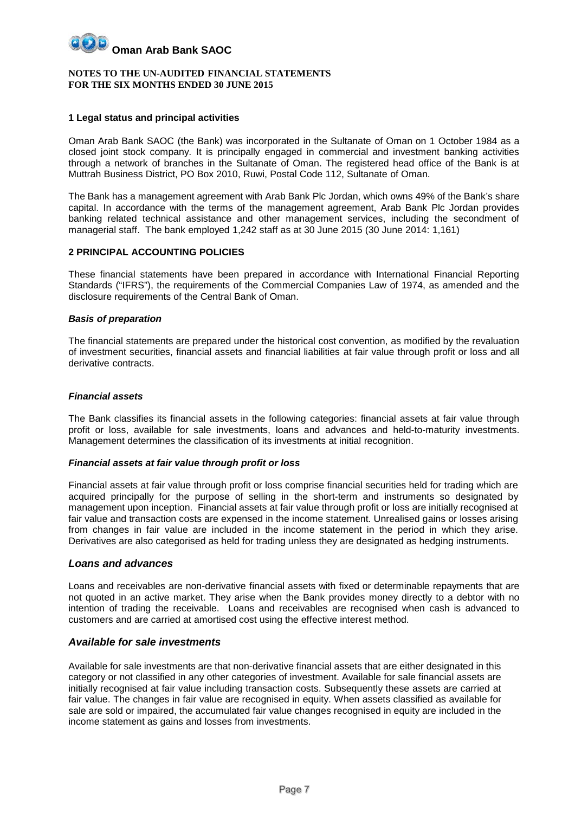#### **NOTES TO THE UN-AUDITED FINANCIAL STATEMENTS FOR THE SIX MONTHS ENDED 30 JUNE 2015**

#### **1 Legal status and principal activities**

Oman Arab Bank SAOC (the Bank) was incorporated in the Sultanate of Oman on 1 October 1984 as a closed joint stock company. It is principally engaged in commercial and investment banking activities through a network of branches in the Sultanate of Oman. The registered head office of the Bank is at Muttrah Business District, PO Box 2010, Ruwi, Postal Code 112, Sultanate of Oman.

The Bank has a management agreement with Arab Bank Plc Jordan, which owns 49% of the Bank's share capital. In accordance with the terms of the management agreement, Arab Bank Plc Jordan provides banking related technical assistance and other management services, including the secondment of managerial staff. The bank employed 1,242 staff as at 30 June 2015 (30 June 2014: 1,161)

#### **2 PRINCIPAL ACCOUNTING POLICIES**

These financial statements have been prepared in accordance with International Financial Reporting Standards ("IFRS"), the requirements of the Commercial Companies Law of 1974, as amended and the disclosure requirements of the Central Bank of Oman.

#### *Basis of preparation*

The financial statements are prepared under the historical cost convention, as modified by the revaluation of investment securities, financial assets and financial liabilities at fair value through profit or loss and all derivative contracts.

#### *Financial assets*

The Bank classifies its financial assets in the following categories: financial assets at fair value through profit or loss, available for sale investments, loans and advances and held-to-maturity investments. Management determines the classification of its investments at initial recognition.

#### *Financial assets at fair value through profit or loss*

Financial assets at fair value through profit or loss comprise financial securities held for trading which are acquired principally for the purpose of selling in the short-term and instruments so designated by management upon inception. Financial assets at fair value through profit or loss are initially recognised at fair value and transaction costs are expensed in the income statement. Unrealised gains or losses arising from changes in fair value are included in the income statement in the period in which they arise. Derivatives are also categorised as held for trading unless they are designated as hedging instruments.

#### *Loans and advances*

Loans and receivables are non-derivative financial assets with fixed or determinable repayments that are not quoted in an active market. They arise when the Bank provides money directly to a debtor with no intention of trading the receivable. Loans and receivables are recognised when cash is advanced to customers and are carried at amortised cost using the effective interest method.

#### *Available for sale investments*

Available for sale investments are that non-derivative financial assets that are either designated in this category or not classified in any other categories of investment. Available for sale financial assets are initially recognised at fair value including transaction costs. Subsequently these assets are carried at fair value. The changes in fair value are recognised in equity. When assets classified as available for sale are sold or impaired, the accumulated fair value changes recognised in equity are included in the income statement as gains and losses from investments.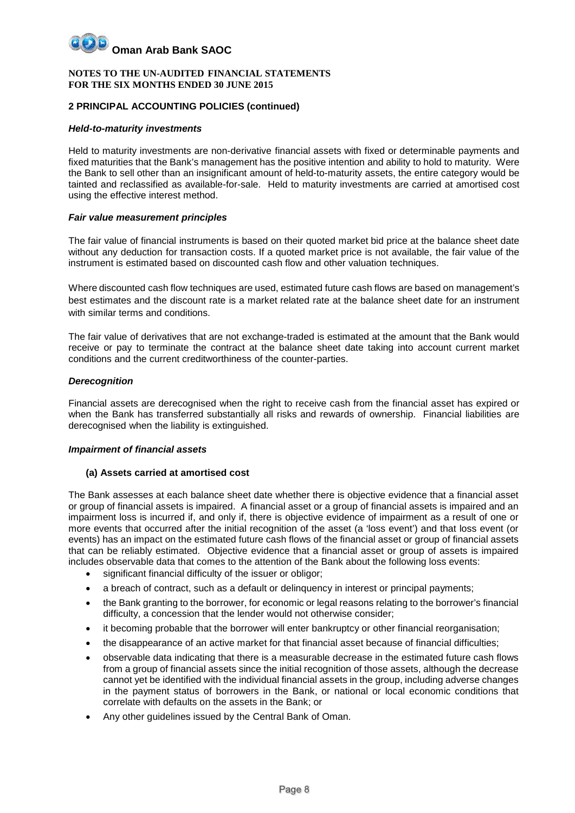#### **NOTES TO THE UN-AUDITED FINANCIAL STATEMENTS FOR THE SIX MONTHS ENDED 30 JUNE 2015**

#### **2 PRINCIPAL ACCOUNTING POLICIES (continued)**

#### *Held-to-maturity investments*

Held to maturity investments are non-derivative financial assets with fixed or determinable payments and fixed maturities that the Bank's management has the positive intention and ability to hold to maturity. Were the Bank to sell other than an insignificant amount of held-to-maturity assets, the entire category would be tainted and reclassified as available-for-sale. Held to maturity investments are carried at amortised cost using the effective interest method.

#### *Fair value measurement principles*

The fair value of financial instruments is based on their quoted market bid price at the balance sheet date without any deduction for transaction costs. If a quoted market price is not available, the fair value of the instrument is estimated based on discounted cash flow and other valuation techniques.

Where discounted cash flow techniques are used, estimated future cash flows are based on management's best estimates and the discount rate is a market related rate at the balance sheet date for an instrument with similar terms and conditions.

The fair value of derivatives that are not exchange-traded is estimated at the amount that the Bank would receive or pay to terminate the contract at the balance sheet date taking into account current market conditions and the current creditworthiness of the counter-parties.

#### *Derecognition*

Financial assets are derecognised when the right to receive cash from the financial asset has expired or when the Bank has transferred substantially all risks and rewards of ownership. Financial liabilities are derecognised when the liability is extinguished.

#### *Impairment of financial assets*

#### **(a) Assets carried at amortised cost**

The Bank assesses at each balance sheet date whether there is objective evidence that a financial asset or group of financial assets is impaired. A financial asset or a group of financial assets is impaired and an impairment loss is incurred if, and only if, there is objective evidence of impairment as a result of one or more events that occurred after the initial recognition of the asset (a 'loss event') and that loss event (or events) has an impact on the estimated future cash flows of the financial asset or group of financial assets that can be reliably estimated. Objective evidence that a financial asset or group of assets is impaired includes observable data that comes to the attention of the Bank about the following loss events:

- significant financial difficulty of the issuer or obligor;
- a breach of contract, such as a default or delinquency in interest or principal payments;
- the Bank granting to the borrower, for economic or legal reasons relating to the borrower's financial difficulty, a concession that the lender would not otherwise consider;
- it becoming probable that the borrower will enter bankruptcy or other financial reorganisation;
- the disappearance of an active market for that financial asset because of financial difficulties;
- observable data indicating that there is a measurable decrease in the estimated future cash flows from a group of financial assets since the initial recognition of those assets, although the decrease cannot yet be identified with the individual financial assets in the group, including adverse changes in the payment status of borrowers in the Bank, or national or local economic conditions that correlate with defaults on the assets in the Bank; or
- Any other guidelines issued by the Central Bank of Oman.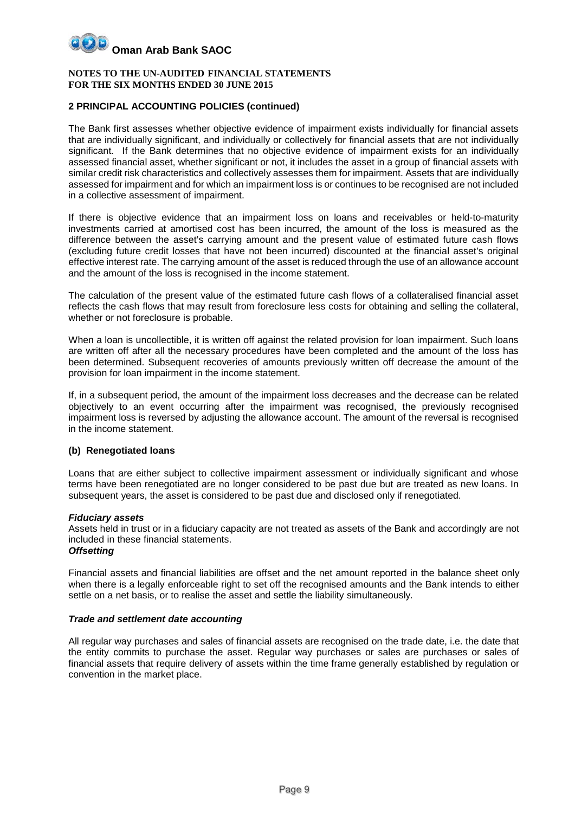#### **NOTES TO THE UN-AUDITED FINANCIAL STATEMENTS FOR THE SIX MONTHS ENDED 30 JUNE 2015**

#### **2 PRINCIPAL ACCOUNTING POLICIES (continued)**

The Bank first assesses whether objective evidence of impairment exists individually for financial assets that are individually significant, and individually or collectively for financial assets that are not individually significant. If the Bank determines that no objective evidence of impairment exists for an individually assessed financial asset, whether significant or not, it includes the asset in a group of financial assets with similar credit risk characteristics and collectively assesses them for impairment. Assets that are individually assessed for impairment and for which an impairment loss is or continues to be recognised are not included in a collective assessment of impairment.

If there is objective evidence that an impairment loss on loans and receivables or held-to-maturity investments carried at amortised cost has been incurred, the amount of the loss is measured as the difference between the asset's carrying amount and the present value of estimated future cash flows (excluding future credit losses that have not been incurred) discounted at the financial asset's original effective interest rate. The carrying amount of the asset is reduced through the use of an allowance account and the amount of the loss is recognised in the income statement.

The calculation of the present value of the estimated future cash flows of a collateralised financial asset reflects the cash flows that may result from foreclosure less costs for obtaining and selling the collateral, whether or not foreclosure is probable.

When a loan is uncollectible, it is written off against the related provision for loan impairment. Such loans are written off after all the necessary procedures have been completed and the amount of the loss has been determined. Subsequent recoveries of amounts previously written off decrease the amount of the provision for loan impairment in the income statement.

If, in a subsequent period, the amount of the impairment loss decreases and the decrease can be related objectively to an event occurring after the impairment was recognised, the previously recognised impairment loss is reversed by adjusting the allowance account. The amount of the reversal is recognised in the income statement.

#### **(b) Renegotiated loans**

Loans that are either subject to collective impairment assessment or individually significant and whose terms have been renegotiated are no longer considered to be past due but are treated as new loans. In subsequent years, the asset is considered to be past due and disclosed only if renegotiated.

#### *Fiduciary assets*

Assets held in trust or in a fiduciary capacity are not treated as assets of the Bank and accordingly are not included in these financial statements.

#### *Offsetting*

Financial assets and financial liabilities are offset and the net amount reported in the balance sheet only when there is a legally enforceable right to set off the recognised amounts and the Bank intends to either settle on a net basis, or to realise the asset and settle the liability simultaneously.

#### *Trade and settlement date accounting*

All regular way purchases and sales of financial assets are recognised on the trade date, i.e. the date that the entity commits to purchase the asset. Regular way purchases or sales are purchases or sales of financial assets that require delivery of assets within the time frame generally established by regulation or convention in the market place.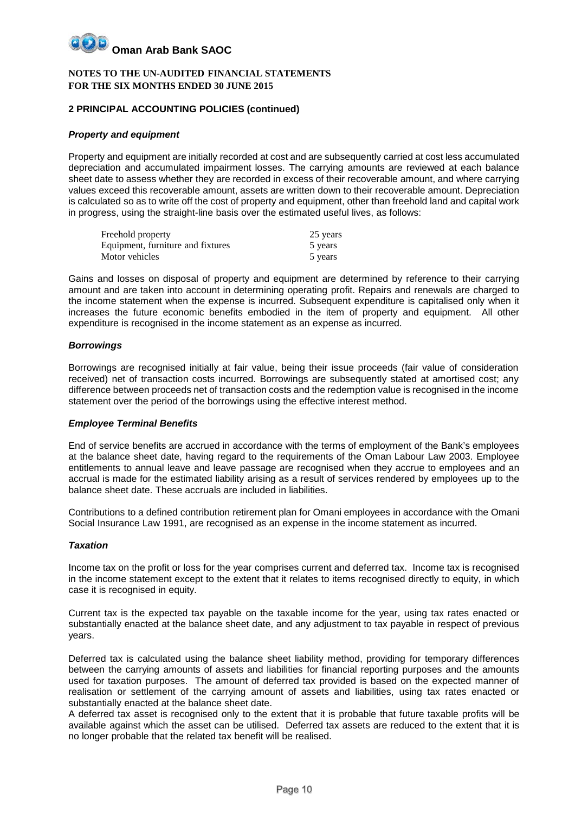#### **NOTES TO THE UN-AUDITED FINANCIAL STATEMENTS FOR THE SIX MONTHS ENDED 30 JUNE 2015**

#### **2 PRINCIPAL ACCOUNTING POLICIES (continued)**

#### *Property and equipment*

Property and equipment are initially recorded at cost and are subsequently carried at cost less accumulated depreciation and accumulated impairment losses. The carrying amounts are reviewed at each balance sheet date to assess whether they are recorded in excess of their recoverable amount, and where carrying values exceed this recoverable amount, assets are written down to their recoverable amount. Depreciation is calculated so as to write off the cost of property and equipment, other than freehold land and capital work in progress, using the straight-line basis over the estimated useful lives, as follows:

| Freehold property                 | 25 years |
|-----------------------------------|----------|
| Equipment, furniture and fixtures | 5 years  |
| Motor vehicles                    | 5 years  |

Gains and losses on disposal of property and equipment are determined by reference to their carrying amount and are taken into account in determining operating profit. Repairs and renewals are charged to the income statement when the expense is incurred. Subsequent expenditure is capitalised only when it increases the future economic benefits embodied in the item of property and equipment. All other expenditure is recognised in the income statement as an expense as incurred.

#### *Borrowings*

Borrowings are recognised initially at fair value, being their issue proceeds (fair value of consideration received) net of transaction costs incurred. Borrowings are subsequently stated at amortised cost; any difference between proceeds net of transaction costs and the redemption value is recognised in the income statement over the period of the borrowings using the effective interest method.

#### *Employee Terminal Benefits*

End of service benefits are accrued in accordance with the terms of employment of the Bank's employees at the balance sheet date, having regard to the requirements of the Oman Labour Law 2003. Employee entitlements to annual leave and leave passage are recognised when they accrue to employees and an accrual is made for the estimated liability arising as a result of services rendered by employees up to the balance sheet date. These accruals are included in liabilities.

Contributions to a defined contribution retirement plan for Omani employees in accordance with the Omani Social Insurance Law 1991, are recognised as an expense in the income statement as incurred.

#### *Taxation*

Income tax on the profit or loss for the year comprises current and deferred tax. Income tax is recognised in the income statement except to the extent that it relates to items recognised directly to equity, in which case it is recognised in equity.

Current tax is the expected tax payable on the taxable income for the year, using tax rates enacted or substantially enacted at the balance sheet date, and any adjustment to tax payable in respect of previous years.

Deferred tax is calculated using the balance sheet liability method, providing for temporary differences between the carrying amounts of assets and liabilities for financial reporting purposes and the amounts used for taxation purposes. The amount of deferred tax provided is based on the expected manner of realisation or settlement of the carrying amount of assets and liabilities, using tax rates enacted or substantially enacted at the balance sheet date.

A deferred tax asset is recognised only to the extent that it is probable that future taxable profits will be available against which the asset can be utilised. Deferred tax assets are reduced to the extent that it is no longer probable that the related tax benefit will be realised.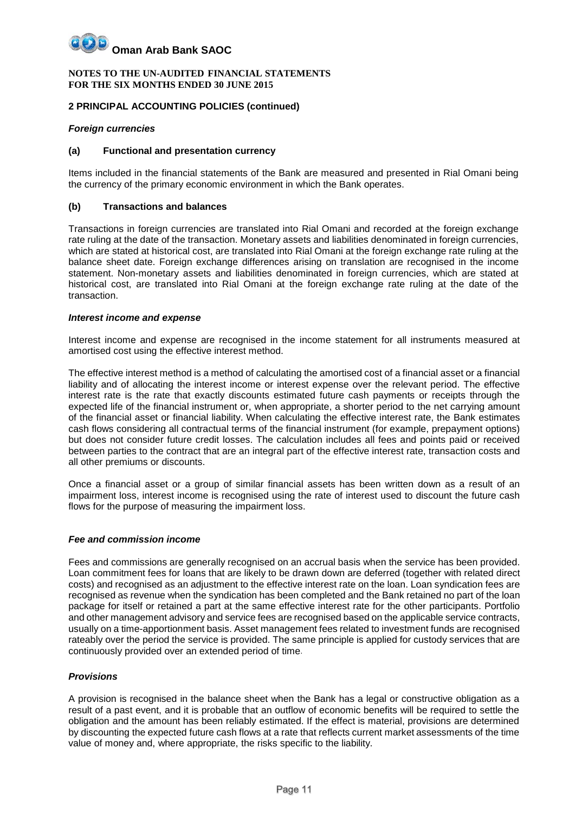#### **NOTES TO THE UN-AUDITED FINANCIAL STATEMENTS FOR THE SIX MONTHS ENDED 30 JUNE 2015**

#### **2 PRINCIPAL ACCOUNTING POLICIES (continued)**

#### *Foreign currencies*

#### **(a) Functional and presentation currency**

Items included in the financial statements of the Bank are measured and presented in Rial Omani being the currency of the primary economic environment in which the Bank operates.

#### **(b) Transactions and balances**

Transactions in foreign currencies are translated into Rial Omani and recorded at the foreign exchange rate ruling at the date of the transaction. Monetary assets and liabilities denominated in foreign currencies, which are stated at historical cost, are translated into Rial Omani at the foreign exchange rate ruling at the balance sheet date. Foreign exchange differences arising on translation are recognised in the income statement. Non-monetary assets and liabilities denominated in foreign currencies, which are stated at historical cost, are translated into Rial Omani at the foreign exchange rate ruling at the date of the transaction.

#### *Interest income and expense*

Interest income and expense are recognised in the income statement for all instruments measured at amortised cost using the effective interest method.

The effective interest method is a method of calculating the amortised cost of a financial asset or a financial liability and of allocating the interest income or interest expense over the relevant period. The effective interest rate is the rate that exactly discounts estimated future cash payments or receipts through the expected life of the financial instrument or, when appropriate, a shorter period to the net carrying amount of the financial asset or financial liability. When calculating the effective interest rate, the Bank estimates cash flows considering all contractual terms of the financial instrument (for example, prepayment options) but does not consider future credit losses. The calculation includes all fees and points paid or received between parties to the contract that are an integral part of the effective interest rate, transaction costs and all other premiums or discounts.

Once a financial asset or a group of similar financial assets has been written down as a result of an impairment loss, interest income is recognised using the rate of interest used to discount the future cash flows for the purpose of measuring the impairment loss.

#### *Fee and commission income*

Fees and commissions are generally recognised on an accrual basis when the service has been provided. Loan commitment fees for loans that are likely to be drawn down are deferred (together with related direct costs) and recognised as an adjustment to the effective interest rate on the loan. Loan syndication fees are recognised as revenue when the syndication has been completed and the Bank retained no part of the loan package for itself or retained a part at the same effective interest rate for the other participants. Portfolio and other management advisory and service fees are recognised based on the applicable service contracts, usually on a time-apportionment basis. Asset management fees related to investment funds are recognised rateably over the period the service is provided. The same principle is applied for custody services that are continuously provided over an extended period of time.

#### *Provisions*

A provision is recognised in the balance sheet when the Bank has a legal or constructive obligation as a result of a past event, and it is probable that an outflow of economic benefits will be required to settle the obligation and the amount has been reliably estimated. If the effect is material, provisions are determined by discounting the expected future cash flows at a rate that reflects current market assessments of the time value of money and, where appropriate, the risks specific to the liability.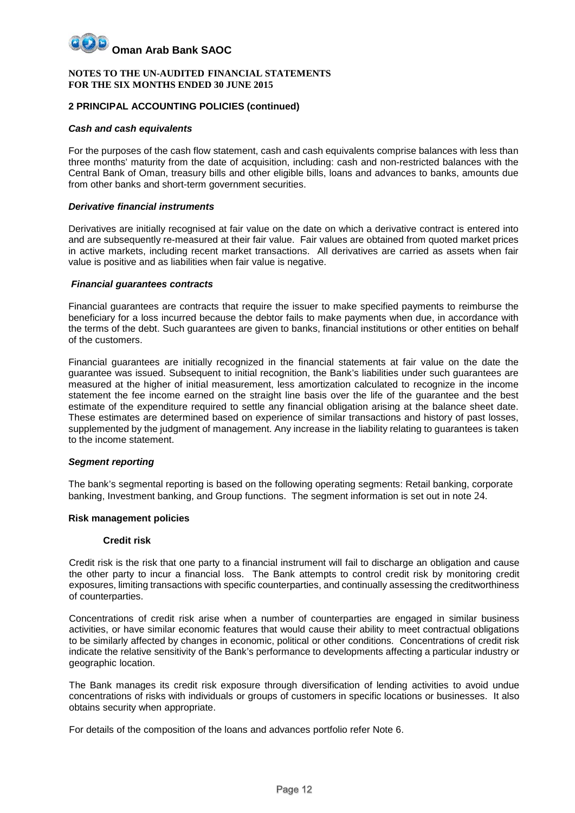#### **NOTES TO THE UN-AUDITED FINANCIAL STATEMENTS FOR THE SIX MONTHS ENDED 30 JUNE 2015**

#### **2 PRINCIPAL ACCOUNTING POLICIES (continued)**

#### *Cash and cash equivalents*

For the purposes of the cash flow statement, cash and cash equivalents comprise balances with less than three months' maturity from the date of acquisition, including: cash and non-restricted balances with the Central Bank of Oman, treasury bills and other eligible bills, loans and advances to banks, amounts due from other banks and short-term government securities.

#### *Derivative financial instruments*

Derivatives are initially recognised at fair value on the date on which a derivative contract is entered into and are subsequently re-measured at their fair value. Fair values are obtained from quoted market prices in active markets, including recent market transactions. All derivatives are carried as assets when fair value is positive and as liabilities when fair value is negative.

#### *Financial guarantees contracts*

Financial guarantees are contracts that require the issuer to make specified payments to reimburse the beneficiary for a loss incurred because the debtor fails to make payments when due, in accordance with the terms of the debt. Such guarantees are given to banks, financial institutions or other entities on behalf of the customers.

Financial guarantees are initially recognized in the financial statements at fair value on the date the guarantee was issued. Subsequent to initial recognition, the Bank's liabilities under such guarantees are measured at the higher of initial measurement, less amortization calculated to recognize in the income statement the fee income earned on the straight line basis over the life of the guarantee and the best estimate of the expenditure required to settle any financial obligation arising at the balance sheet date. These estimates are determined based on experience of similar transactions and history of past losses, supplemented by the judgment of management. Any increase in the liability relating to guarantees is taken to the income statement.

#### *Segment reporting*

The bank's segmental reporting is based on the following operating segments: Retail banking, corporate banking, Investment banking, and Group functions. The segment information is set out in note 24.

#### **Risk management policies**

#### **Credit risk**

Credit risk is the risk that one party to a financial instrument will fail to discharge an obligation and cause the other party to incur a financial loss. The Bank attempts to control credit risk by monitoring credit exposures, limiting transactions with specific counterparties, and continually assessing the creditworthiness of counterparties.

Concentrations of credit risk arise when a number of counterparties are engaged in similar business activities, or have similar economic features that would cause their ability to meet contractual obligations to be similarly affected by changes in economic, political or other conditions. Concentrations of credit risk indicate the relative sensitivity of the Bank's performance to developments affecting a particular industry or geographic location.

The Bank manages its credit risk exposure through diversification of lending activities to avoid undue concentrations of risks with individuals or groups of customers in specific locations or businesses. It also obtains security when appropriate.

For details of the composition of the loans and advances portfolio refer Note 6.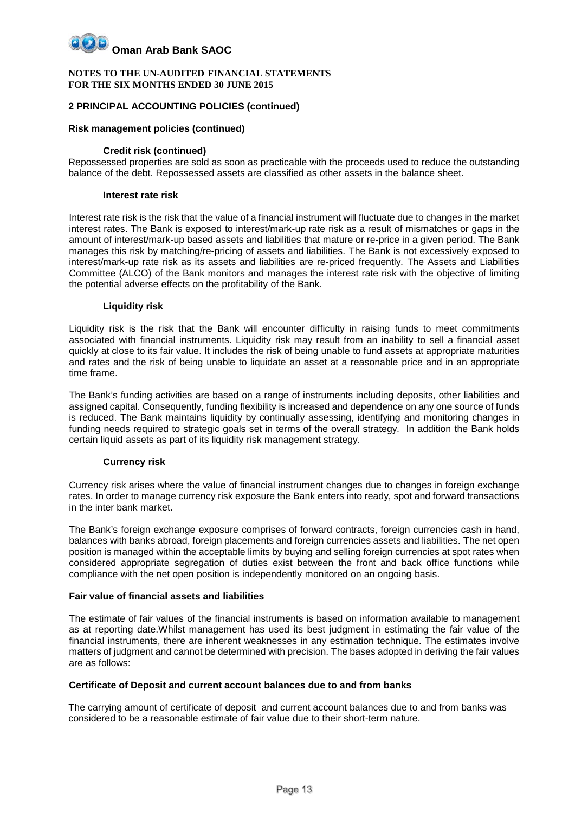#### **NOTES TO THE UN-AUDITED FINANCIAL STATEMENTS FOR THE SIX MONTHS ENDED 30 JUNE 2015**

#### **2 PRINCIPAL ACCOUNTING POLICIES (continued)**

#### **Risk management policies (continued)**

#### **Credit risk (continued)**

Repossessed properties are sold as soon as practicable with the proceeds used to reduce the outstanding balance of the debt. Repossessed assets are classified as other assets in the balance sheet.

#### **Interest rate risk**

Interest rate risk is the risk that the value of a financial instrument will fluctuate due to changes in the market interest rates. The Bank is exposed to interest/mark-up rate risk as a result of mismatches or gaps in the amount of interest/mark-up based assets and liabilities that mature or re-price in a given period. The Bank manages this risk by matching/re-pricing of assets and liabilities. The Bank is not excessively exposed to interest/mark-up rate risk as its assets and liabilities are re-priced frequently. The Assets and Liabilities Committee (ALCO) of the Bank monitors and manages the interest rate risk with the objective of limiting the potential adverse effects on the profitability of the Bank.

#### **Liquidity risk**

Liquidity risk is the risk that the Bank will encounter difficulty in raising funds to meet commitments associated with financial instruments. Liquidity risk may result from an inability to sell a financial asset quickly at close to its fair value. It includes the risk of being unable to fund assets at appropriate maturities and rates and the risk of being unable to liquidate an asset at a reasonable price and in an appropriate time frame.

The Bank's funding activities are based on a range of instruments including deposits, other liabilities and assigned capital. Consequently, funding flexibility is increased and dependence on any one source of funds is reduced. The Bank maintains liquidity by continually assessing, identifying and monitoring changes in funding needs required to strategic goals set in terms of the overall strategy. In addition the Bank holds certain liquid assets as part of its liquidity risk management strategy.

#### **Currency risk**

Currency risk arises where the value of financial instrument changes due to changes in foreign exchange rates. In order to manage currency risk exposure the Bank enters into ready, spot and forward transactions in the inter bank market.

The Bank's foreign exchange exposure comprises of forward contracts, foreign currencies cash in hand, balances with banks abroad, foreign placements and foreign currencies assets and liabilities. The net open position is managed within the acceptable limits by buying and selling foreign currencies at spot rates when considered appropriate segregation of duties exist between the front and back office functions while compliance with the net open position is independently monitored on an ongoing basis.

#### **Fair value of financial assets and liabilities**

The estimate of fair values of the financial instruments is based on information available to management as at reporting date.Whilst management has used its best judgment in estimating the fair value of the financial instruments, there are inherent weaknesses in any estimation technique. The estimates involve matters of judgment and cannot be determined with precision. The bases adopted in deriving the fair values are as follows:

#### **Certificate of Deposit and current account balances due to and from banks**

The carrying amount of certificate of deposit and current account balances due to and from banks was considered to be a reasonable estimate of fair value due to their short-term nature.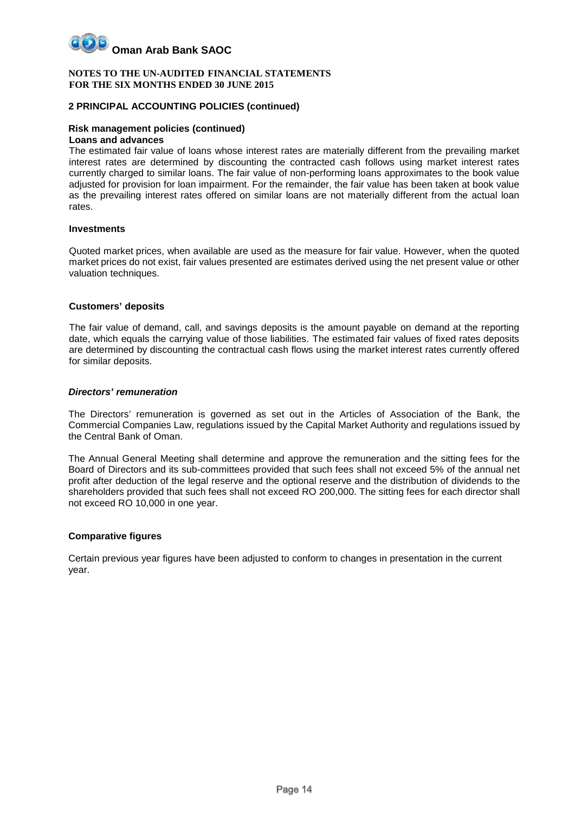

#### **2 PRINCIPAL ACCOUNTING POLICIES (continued)**

#### **Risk management policies (continued)**

#### **Loans and advances**

The estimated fair value of loans whose interest rates are materially different from the prevailing market interest rates are determined by discounting the contracted cash follows using market interest rates currently charged to similar loans. The fair value of non-performing loans approximates to the book value adjusted for provision for loan impairment. For the remainder, the fair value has been taken at book value as the prevailing interest rates offered on similar loans are not materially different from the actual loan rates.

#### **Investments**

Quoted market prices, when available are used as the measure for fair value. However, when the quoted market prices do not exist, fair values presented are estimates derived using the net present value or other valuation techniques.

#### **Customers' deposits**

The fair value of demand, call, and savings deposits is the amount payable on demand at the reporting date, which equals the carrying value of those liabilities. The estimated fair values of fixed rates deposits are determined by discounting the contractual cash flows using the market interest rates currently offered for similar deposits.

#### *Directors' remuneration*

The Directors' remuneration is governed as set out in the Articles of Association of the Bank, the Commercial Companies Law, regulations issued by the Capital Market Authority and regulations issued by the Central Bank of Oman.

The Annual General Meeting shall determine and approve the remuneration and the sitting fees for the Board of Directors and its sub-committees provided that such fees shall not exceed 5% of the annual net profit after deduction of the legal reserve and the optional reserve and the distribution of dividends to the shareholders provided that such fees shall not exceed RO 200,000. The sitting fees for each director shall not exceed RO 10,000 in one year.

#### **Comparative figures**

Certain previous year figures have been adjusted to conform to changes in presentation in the current year.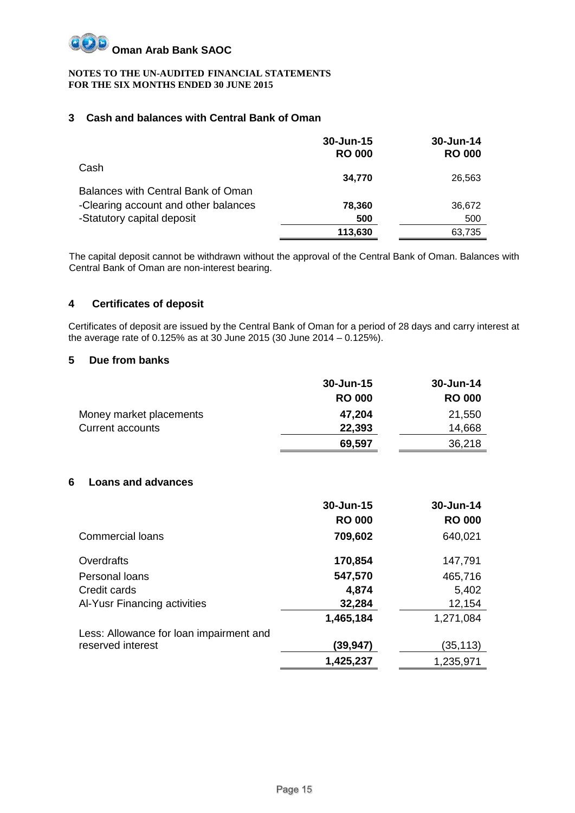

#### **3 Cash and balances with Central Bank of Oman**

|                                      | 30-Jun-15<br><b>RO 000</b> | 30-Jun-14<br><b>RO 000</b> |
|--------------------------------------|----------------------------|----------------------------|
| Cash                                 | 34.770                     | 26.563                     |
| Balances with Central Bank of Oman   |                            |                            |
| -Clearing account and other balances | 78,360                     | 36,672                     |
| -Statutory capital deposit           | 500                        | 500                        |
|                                      | 113,630                    | 63,735                     |

The capital deposit cannot be withdrawn without the approval of the Central Bank of Oman. Balances with Central Bank of Oman are non-interest bearing.

#### **4 Certificates of deposit**

Certificates of deposit are issued by the Central Bank of Oman for a period of 28 days and carry interest at the average rate of 0.125% as at 30 June 2015 (30 June 2014 – 0.125%).

#### **5 Due from banks**

|                         | 30-Jun-15     | 30-Jun-14     |
|-------------------------|---------------|---------------|
|                         | <b>RO 000</b> | <b>RO 000</b> |
| Money market placements | 47,204        | 21,550        |
| <b>Current accounts</b> | 22,393        | 14,668        |
|                         | 69,597        | 36,218        |

#### **6 Loans and advances**

|                                         | 30-Jun-15     | 30-Jun-14     |
|-----------------------------------------|---------------|---------------|
|                                         | <b>RO 000</b> | <b>RO 000</b> |
| <b>Commercial loans</b>                 | 709,602       | 640,021       |
| Overdrafts                              | 170,854       | 147,791       |
| Personal loans                          | 547,570       | 465,716       |
| Credit cards                            | 4,874         | 5,402         |
| Al-Yusr Financing activities            | 32,284        | 12,154        |
|                                         | 1,465,184     | 1,271,084     |
| Less: Allowance for loan impairment and |               |               |
| reserved interest                       | (39,947)      | (35, 113)     |
|                                         | 1,425,237     | 1,235,971     |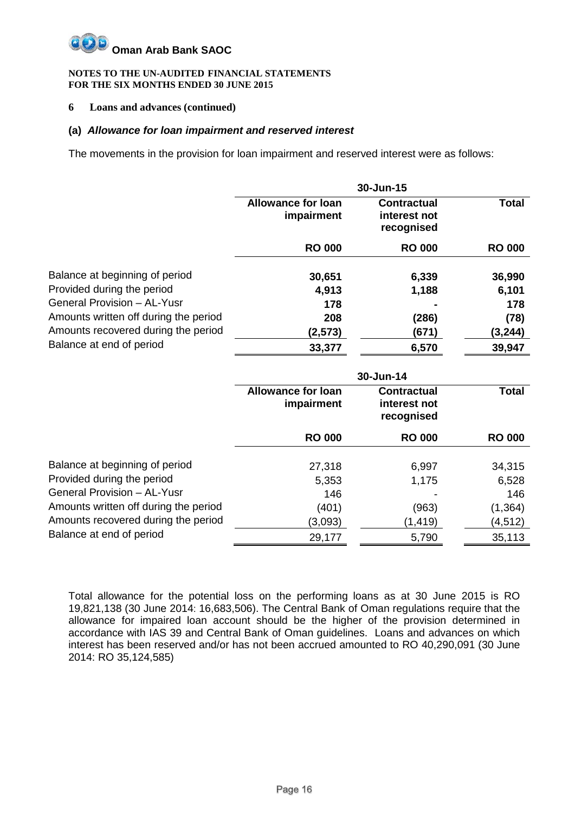#### **NOTES TO THE UN-AUDITED FINANCIAL STATEMENTS FOR THE SIX MONTHS ENDED 30 JUNE 2015**

#### **6 Loans and advances (continued)**

#### **(a)** *Allowance for loan impairment and reserved interest*

The movements in the provision for loan impairment and reserved interest were as follows:

|                                                                 |                                         | 30-Jun-15                                        |               |
|-----------------------------------------------------------------|-----------------------------------------|--------------------------------------------------|---------------|
|                                                                 | <b>Allowance for loan</b><br>impairment | <b>Contractual</b><br>interest not<br>recognised | <b>Total</b>  |
|                                                                 | <b>RO 000</b>                           | <b>RO 000</b>                                    | <b>RO 000</b> |
| Balance at beginning of period                                  | 30,651                                  | 6,339                                            | 36,990        |
| Provided during the period                                      | 4,913                                   | 1,188                                            | 6,101         |
| <b>General Provision - AL-Yusr</b>                              | 178                                     |                                                  | 178           |
| Amounts written off during the period                           | 208                                     | (286)                                            | (78)          |
| Amounts recovered during the period                             | (2,573)                                 | (671)                                            | (3, 244)      |
| Balance at end of period                                        | 33,377                                  | 6,570                                            | 39,947        |
|                                                                 |                                         |                                                  |               |
|                                                                 |                                         | 30-Jun-14                                        |               |
|                                                                 | <b>Allowance for loan</b><br>impairment | <b>Contractual</b><br>interest not<br>recognised | <b>Total</b>  |
|                                                                 | <b>RO 000</b>                           | <b>RO 000</b>                                    | <b>RO 000</b> |
| Balance at beginning of period                                  | 27,318                                  | 6,997                                            | 34,315        |
| Provided during the period                                      | 5,353                                   | 1,175                                            | 6,528         |
| General Provision - AL-Yusr                                     | 146                                     |                                                  | 146           |
| Amounts written off during the period                           | (401)                                   | (963)                                            | (1, 364)      |
| Amounts recovered during the period<br>Balance at end of period | (3,093)                                 | (1,419)                                          | (4, 512)      |

Total allowance for the potential loss on the performing loans as at 30 June 2015 is RO 19,821,138 (30 June 2014: 16,683,506). The Central Bank of Oman regulations require that the allowance for impaired loan account should be the higher of the provision determined in accordance with IAS 39 and Central Bank of Oman guidelines. Loans and advances on which interest has been reserved and/or has not been accrued amounted to RO 40,290,091 (30 June 2014: RO 35,124,585)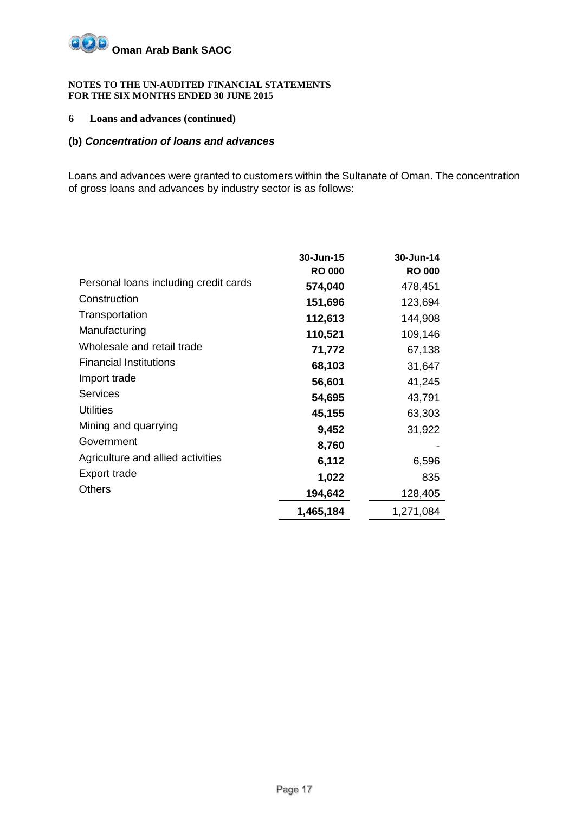

#### **6 Loans and advances (continued)**

#### **(b)** *Concentration of loans and advances*

Loans and advances were granted to customers within the Sultanate of Oman. The concentration of gross loans and advances by industry sector is as follows:

|                                       | 30-Jun-15     | 30-Jun-14     |
|---------------------------------------|---------------|---------------|
|                                       | <b>RO 000</b> | <b>RO 000</b> |
| Personal loans including credit cards | 574,040       | 478,451       |
| Construction                          | 151,696       | 123,694       |
| Transportation                        | 112,613       | 144,908       |
| Manufacturing                         | 110,521       | 109,146       |
| Wholesale and retail trade            | 71,772        | 67,138        |
| <b>Financial Institutions</b>         | 68,103        | 31,647        |
| Import trade                          | 56,601        | 41,245        |
| <b>Services</b>                       | 54,695        | 43,791        |
| <b>Utilities</b>                      | 45,155        | 63,303        |
| Mining and quarrying                  | 9,452         | 31,922        |
| Government                            | 8,760         |               |
| Agriculture and allied activities     | 6,112         | 6,596         |
| Export trade                          | 1,022         | 835           |
| <b>Others</b>                         | 194,642       | 128,405       |
|                                       | 1,465,184     | 1,271,084     |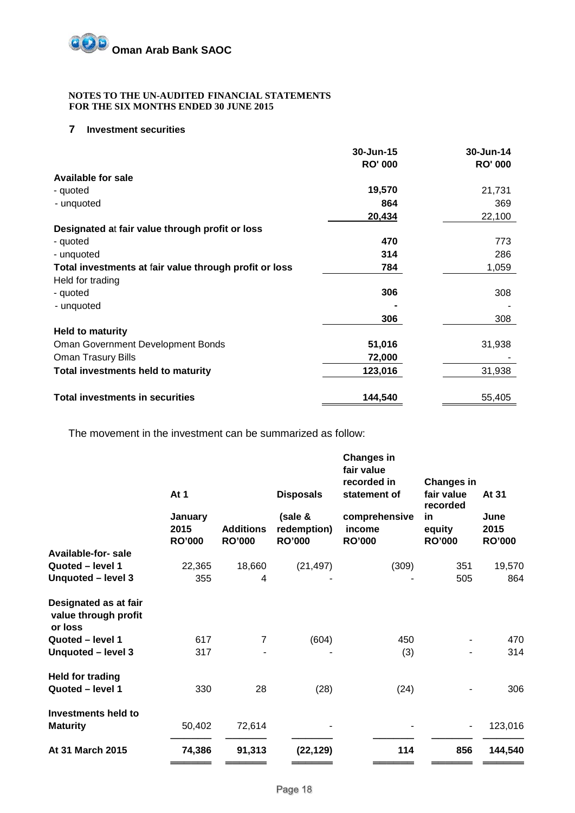

#### **7 Investment securities**

|                                                        | 30-Jun-15<br><b>RO' 000</b> | 30-Jun-14<br><b>RO' 000</b> |
|--------------------------------------------------------|-----------------------------|-----------------------------|
| <b>Available for sale</b>                              |                             |                             |
|                                                        |                             |                             |
| - quoted                                               | 19,570                      | 21,731                      |
| - unquoted                                             | 864                         | 369                         |
|                                                        | 20,434                      | 22,100                      |
| Designated at fair value through profit or loss        |                             |                             |
| - quoted                                               | 470                         | 773                         |
| - unquoted                                             | 314                         | 286                         |
| Total investments at fair value through profit or loss | 784                         | 1,059                       |
| Held for trading                                       |                             |                             |
| - quoted                                               | 306                         | 308                         |
| - unquoted                                             |                             |                             |
|                                                        | 306                         | 308                         |
| <b>Held to maturity</b>                                |                             |                             |
| Oman Government Development Bonds                      | 51,016                      | 31,938                      |
| <b>Oman Trasury Bills</b>                              | 72,000                      |                             |
| <b>Total investments held to maturity</b>              | 123,016                     | 31,938                      |
|                                                        |                             |                             |
| <b>Total investments in securities</b>                 | 144,540                     | 55,405                      |

The movement in the investment can be summarized as follow:

| At 1                             |                                   | <b>Disposals</b>                        | <b>Changes in</b><br>fair value<br>recorded in<br>statement of | fair value                    | At 31                         |
|----------------------------------|-----------------------------------|-----------------------------------------|----------------------------------------------------------------|-------------------------------|-------------------------------|
| January<br>2015<br><b>RO'000</b> | <b>Additions</b><br><b>RO'000</b> | (sale &<br>redemption)<br><b>RO'000</b> | comprehensive<br>income<br><b>RO'000</b>                       | in<br>equity<br><b>RO'000</b> | June<br>2015<br><b>RO'000</b> |
|                                  |                                   |                                         |                                                                |                               |                               |
| 22,365                           | 18,660                            | (21, 497)                               | (309)                                                          | 351                           | 19,570                        |
| 355                              | 4                                 |                                         |                                                                | 505                           | 864                           |
|                                  |                                   |                                         |                                                                |                               |                               |
| 617                              | $\overline{7}$                    |                                         | 450                                                            |                               | 470                           |
| 317                              |                                   |                                         | (3)                                                            |                               | 314                           |
|                                  |                                   |                                         |                                                                |                               |                               |
| 330                              | 28                                | (28)                                    | (24)                                                           |                               | 306                           |
| 50,402                           | 72,614                            |                                         |                                                                | $\overline{\phantom{a}}$      | 123,016                       |
| 74,386                           | 91,313                            | (22, 129)                               | 114                                                            | 856                           | 144,540                       |
|                                  |                                   |                                         | (604)                                                          |                               | <b>Changes in</b><br>recorded |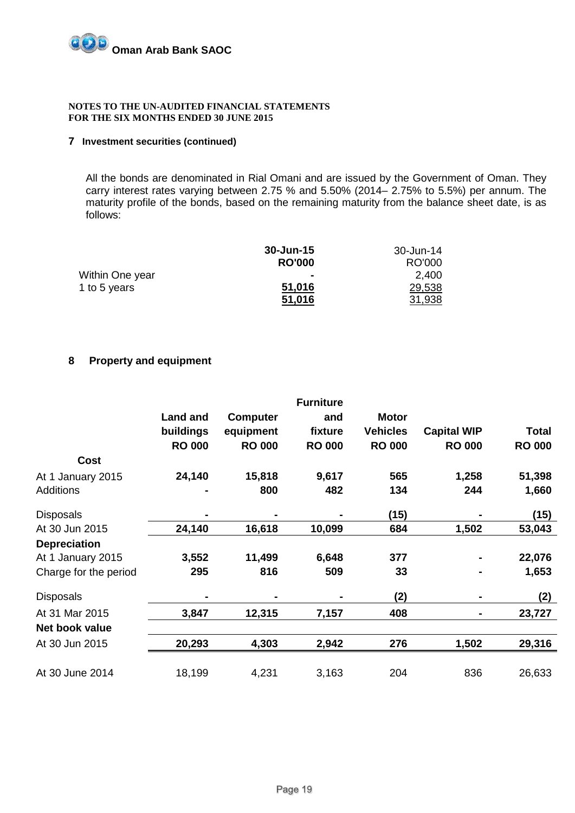

#### **7 Investment securities (continued)**

All the bonds are denominated in Rial Omani and are issued by the Government of Oman. They carry interest rates varying between 2.75 % and 5.50% (2014– 2.75% to 5.5%) per annum. The maturity profile of the bonds, based on the remaining maturity from the balance sheet date, is as follows:

|                 | 30-Jun-15      | 30-Jun-14 |
|-----------------|----------------|-----------|
|                 | <b>RO'000</b>  | RO'000    |
| Within One year | $\blacksquare$ | 2,400     |
| 1 to 5 years    | 51,016         | 29,538    |
|                 | 51,016         | 31,938    |

#### **8 Property and equipment**

|                       |                 |                 | <b>Furniture</b> |                 |                    |               |
|-----------------------|-----------------|-----------------|------------------|-----------------|--------------------|---------------|
|                       | <b>Land and</b> | <b>Computer</b> | and              | <b>Motor</b>    |                    |               |
|                       | buildings       | equipment       | fixture          | <b>Vehicles</b> | <b>Capital WIP</b> | <b>Total</b>  |
|                       | <b>RO 000</b>   | <b>RO 000</b>   | <b>RO 000</b>    | <b>RO 000</b>   | <b>RO 000</b>      | <b>RO 000</b> |
| <b>Cost</b>           |                 |                 |                  |                 |                    |               |
| At 1 January 2015     | 24,140          | 15,818          | 9,617            | 565             | 1,258              | 51,398        |
| <b>Additions</b>      |                 | 800             | 482              | 134             | 244                | 1,660         |
| Disposals             |                 |                 |                  | (15)            |                    | (15)          |
| At 30 Jun 2015        | 24,140          | 16,618          | 10,099           | 684             | 1,502              | 53,043        |
| <b>Depreciation</b>   |                 |                 |                  |                 |                    |               |
| At 1 January 2015     | 3,552           | 11,499          | 6,648            | 377             |                    | 22,076        |
| Charge for the period | 295             | 816             | 509              | 33              |                    | 1,653         |
| Disposals             |                 |                 |                  | (2)             |                    | (2)           |
| At 31 Mar 2015        | 3,847           | 12,315          | 7,157            | 408             |                    | 23,727        |
| Net book value        |                 |                 |                  |                 |                    |               |
| At 30 Jun 2015        | 20,293          | 4,303           | 2,942            | 276             | 1,502              | 29,316        |
| At 30 June 2014       | 18,199          | 4,231           | 3,163            | 204             | 836                | 26,633        |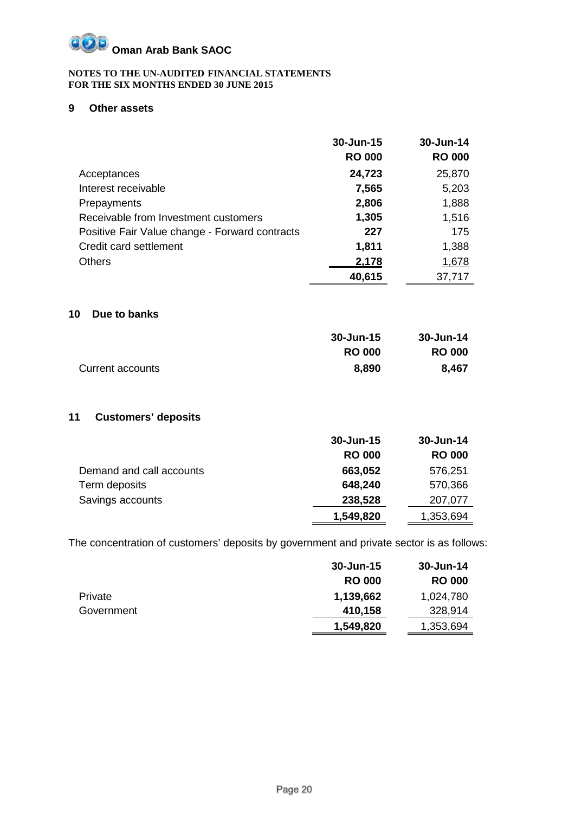#### **NOTES TO THE UN-AUDITED FINANCIAL STATEMENTS FOR THE SIX MONTHS ENDED 30 JUNE 2015**

#### **9 Other assets**

|                                                | 30-Jun-15     | 30-Jun-14     |
|------------------------------------------------|---------------|---------------|
|                                                | <b>RO 000</b> | <b>RO 000</b> |
| Acceptances                                    | 24,723        | 25,870        |
| Interest receivable                            | 7,565         | 5,203         |
| Prepayments                                    | 2,806         | 1,888         |
| Receivable from Investment customers           | 1,305         | 1,516         |
| Positive Fair Value change - Forward contracts | 227           | 175           |
| Credit card settlement                         | 1,811         | 1,388         |
| <b>Others</b>                                  | 2,178         | 1,678         |
|                                                | 40,615        | 37,717        |

#### **10 Due to banks**

|                  | 30-Jun-15     | 30-Jun-14     |
|------------------|---------------|---------------|
|                  | <b>RO 000</b> | <b>RO 000</b> |
| Current accounts | 8,890         | 8,467         |

#### **11 Customers' deposits**

|                          | 30-Jun-15     | 30-Jun-14     |
|--------------------------|---------------|---------------|
|                          | <b>RO 000</b> | <b>RO 000</b> |
| Demand and call accounts | 663,052       | 576,251       |
| Term deposits            | 648,240       | 570,366       |
| Savings accounts         | 238,528       | 207,077       |
|                          | 1,549,820     | 1,353,694     |

The concentration of customers' deposits by government and private sector is as follows:

|            | 30-Jun-15     | 30-Jun-14     |
|------------|---------------|---------------|
|            | <b>RO 000</b> | <b>RO 000</b> |
| Private    | 1,139,662     | 1,024,780     |
| Government | 410,158       | 328,914       |
|            | 1,549,820     | 1,353,694     |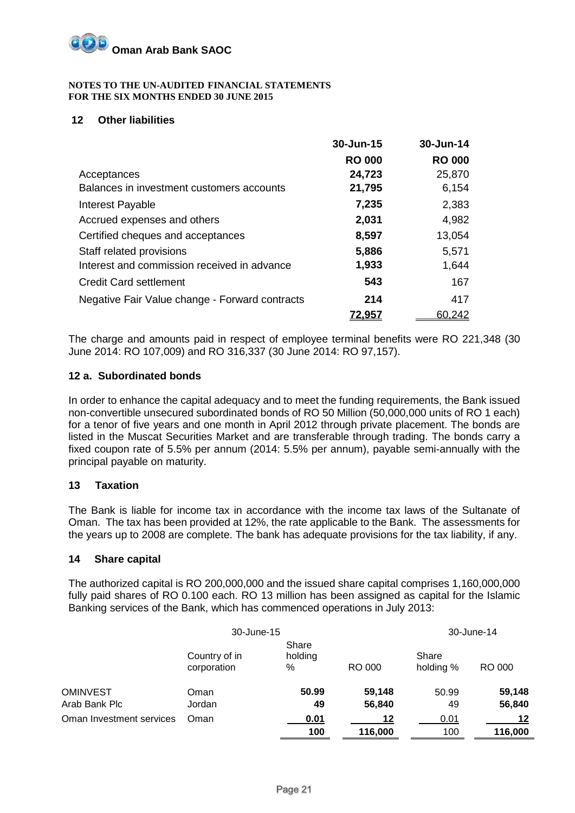

#### **12 Other liabilities**

|                                                | 30-Jun-15     | 30-Jun-14     |
|------------------------------------------------|---------------|---------------|
|                                                | <b>RO 000</b> | <b>RO 000</b> |
| Acceptances                                    | 24,723        | 25,870        |
| Balances in investment customers accounts      | 21,795        | 6,154         |
| Interest Payable                               | 7,235         | 2,383         |
| Accrued expenses and others                    | 2,031         | 4,982         |
| Certified cheques and acceptances              | 8,597         | 13,054        |
| Staff related provisions                       | 5,886         | 5,571         |
| Interest and commission received in advance    | 1,933         | 1,644         |
| <b>Credit Card settlement</b>                  | 543           | 167           |
| Negative Fair Value change - Forward contracts | 214           | 417           |
|                                                | 72,957        | 60,242        |

The charge and amounts paid in respect of employee terminal benefits were RO 221,348 (30 June 2014: RO 107,009) and RO 316,337 (30 June 2014: RO 97,157).

#### **12 a. Subordinated bonds**

In order to enhance the capital adequacy and to meet the funding requirements, the Bank issued non-convertible unsecured subordinated bonds of RO 50 Million (50,000,000 units of RO 1 each) for a tenor of five years and one month in April 2012 through private placement. The bonds are listed in the Muscat Securities Market and are transferable through trading. The bonds carry a fixed coupon rate of 5.5% per annum (2014: 5.5% per annum), payable semi-annually with the principal payable on maturity.

#### **13 Taxation**

The Bank is liable for income tax in accordance with the income tax laws of the Sultanate of Oman. The tax has been provided at 12%, the rate applicable to the Bank. The assessments for the years up to 2008 are complete. The bank has adequate provisions for the tax liability, if any.

#### **14 Share capital**

The authorized capital is RO 200,000,000 and the issued share capital comprises 1,160,000,000 fully paid shares of RO 0.100 each. RO 13 million has been assigned as capital for the Islamic Banking services of the Bank, which has commenced operations in July 2013:

|                          | 30-June-15                   |                       | 30-June-14 |                    |         |
|--------------------------|------------------------------|-----------------------|------------|--------------------|---------|
|                          | Country of in<br>corporation | Share<br>holding<br>% | RO 000     | Share<br>holding % | RO 000  |
| <b>OMINVEST</b>          | Oman                         | 50.99                 | 59,148     | 50.99              | 59,148  |
| Arab Bank Plc            | Jordan                       | 49                    | 56,840     | 49                 | 56,840  |
| Oman Investment services | Oman                         | 0.01                  | 12         | 0.01               | 12      |
|                          |                              | 100                   | 116.000    | 100                | 116,000 |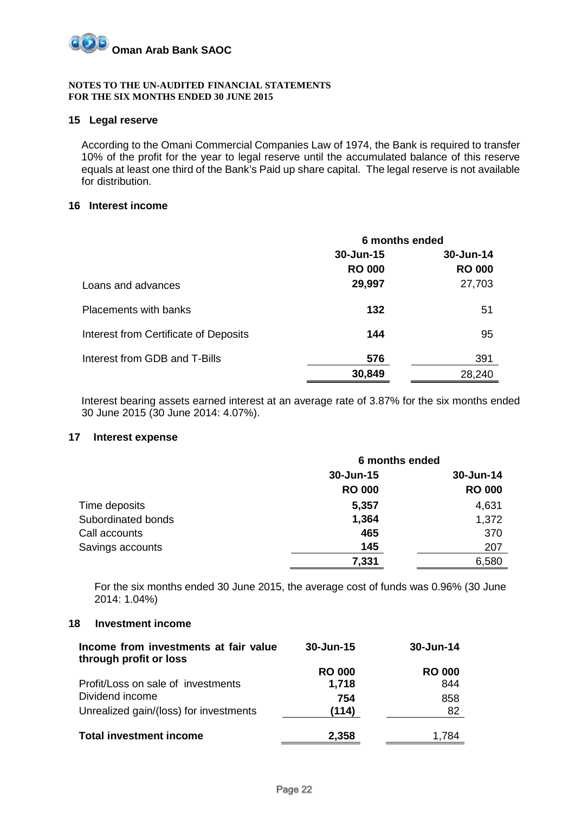

#### **15 Legal reserve**

According to the Omani Commercial Companies Law of 1974, the Bank is required to transfer 10% of the profit for the year to legal reserve until the accumulated balance of this reserve equals at least one third of the Bank's Paid up share capital. The legal reserve is not available for distribution.

#### **16 Interest income**

| 6 months ended |               |  |
|----------------|---------------|--|
| 30-Jun-15      | 30-Jun-14     |  |
| <b>RO 000</b>  | <b>RO 000</b> |  |
| 29,997         | 27,703        |  |
| 132            | 51            |  |
| 144            | 95            |  |
| 576            | 391           |  |
| 30,849         | 28,240        |  |
|                |               |  |

Interest bearing assets earned interest at an average rate of 3.87% for the six months ended 30 June 2015 (30 June 2014: 4.07%).

#### **17 Interest expense**

|                    | 6 months ended |               |
|--------------------|----------------|---------------|
|                    | 30-Jun-15      | 30-Jun-14     |
|                    | <b>RO 000</b>  | <b>RO 000</b> |
| Time deposits      | 5,357          | 4,631         |
| Subordinated bonds | 1,364          | 1,372         |
| Call accounts      | 465            | 370           |
| Savings accounts   | 145            | 207           |
|                    | 7,331          | 6,580         |

For the six months ended 30 June 2015, the average cost of funds was 0.96% (30 June 2014: 1.04%)

#### **18 Investment income**

| Income from investments at fair value<br>through profit or loss | 30-Jun-15     | 30-Jun-14     |
|-----------------------------------------------------------------|---------------|---------------|
|                                                                 | <b>RO 000</b> | <b>RO 000</b> |
| Profit/Loss on sale of investments                              | 1,718         | 844           |
| Dividend income                                                 | 754           | 858           |
| Unrealized gain/(loss) for investments                          | (114)         | 82            |
| <b>Total investment income</b>                                  | 2,358         | 1.784         |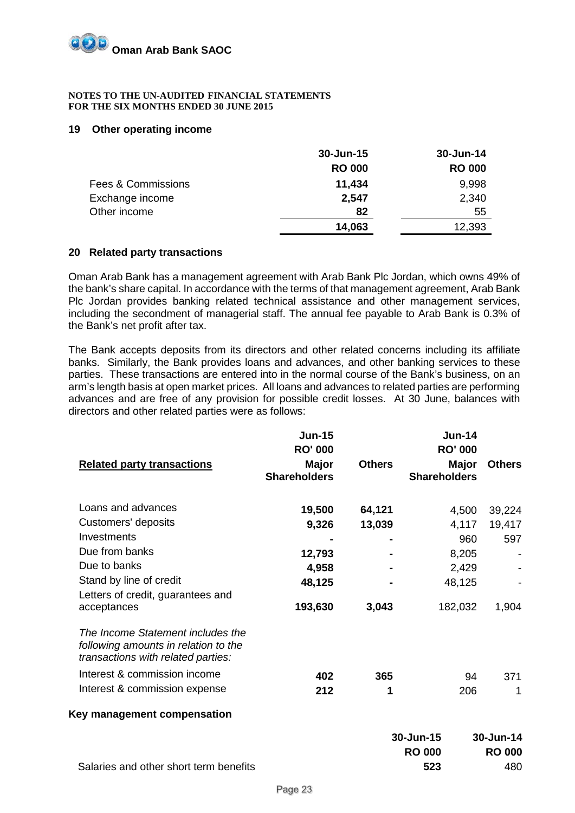#### **19 Other operating income**

|                    | 30-Jun-15     | 30-Jun-14     |
|--------------------|---------------|---------------|
|                    | <b>RO 000</b> | <b>RO 000</b> |
| Fees & Commissions | 11,434        | 9,998         |
| Exchange income    | 2,547         | 2,340         |
| Other income       | 82            | 55            |
|                    | 14,063        | 12,393        |

#### **20 Related party transactions**

Oman Arab Bank has a management agreement with Arab Bank Plc Jordan, which owns 49% of the bank's share capital. In accordance with the terms of that management agreement, Arab Bank Plc Jordan provides banking related technical assistance and other management services, including the secondment of managerial staff. The annual fee payable to Arab Bank is 0.3% of the Bank's net profit after tax.

The Bank accepts deposits from its directors and other related concerns including its affiliate banks. Similarly, the Bank provides loans and advances, and other banking services to these parties. These transactions are entered into in the normal course of the Bank's business, on an arm's length basis at open market prices. All loans and advances to related parties are performing advances and are free of any provision for possible credit losses. At 30 June, balances with directors and other related parties were as follows:

|                                                                                                                 | <b>Jun-15</b><br><b>RO' 000</b>     |               | $Jun-14$<br><b>RO' 000</b>          |               |
|-----------------------------------------------------------------------------------------------------------------|-------------------------------------|---------------|-------------------------------------|---------------|
| <b>Related party transactions</b>                                                                               | <b>Major</b><br><b>Shareholders</b> | <b>Others</b> | <b>Major</b><br><b>Shareholders</b> | <b>Others</b> |
| Loans and advances                                                                                              | 19,500                              | 64,121        | 4,500                               | 39,224        |
| Customers' deposits                                                                                             | 9,326                               | 13,039        | 4,117                               | 19,417        |
| Investments                                                                                                     |                                     |               | 960                                 | 597           |
| Due from banks                                                                                                  | 12,793                              |               | 8,205                               |               |
| Due to banks                                                                                                    | 4,958                               |               | 2,429                               |               |
| Stand by line of credit                                                                                         | 48,125                              |               | 48,125                              |               |
| Letters of credit, guarantees and<br>acceptances                                                                | 193,630                             | 3,043         | 182,032                             | 1,904         |
| The Income Statement includes the<br>following amounts in relation to the<br>transactions with related parties: |                                     |               |                                     |               |
| Interest & commission income                                                                                    | 402                                 | 365           | 94                                  | 371           |
| Interest & commission expense                                                                                   | 212                                 | 1             | 206                                 | 1             |
| Key management compensation                                                                                     |                                     |               |                                     |               |
|                                                                                                                 |                                     | 30-Jun-15     |                                     | 30-Jun-14     |
|                                                                                                                 |                                     |               | <b>RO 000</b>                       | <b>RO 000</b> |
| Salaries and other short term benefits                                                                          |                                     |               | 523                                 | 480           |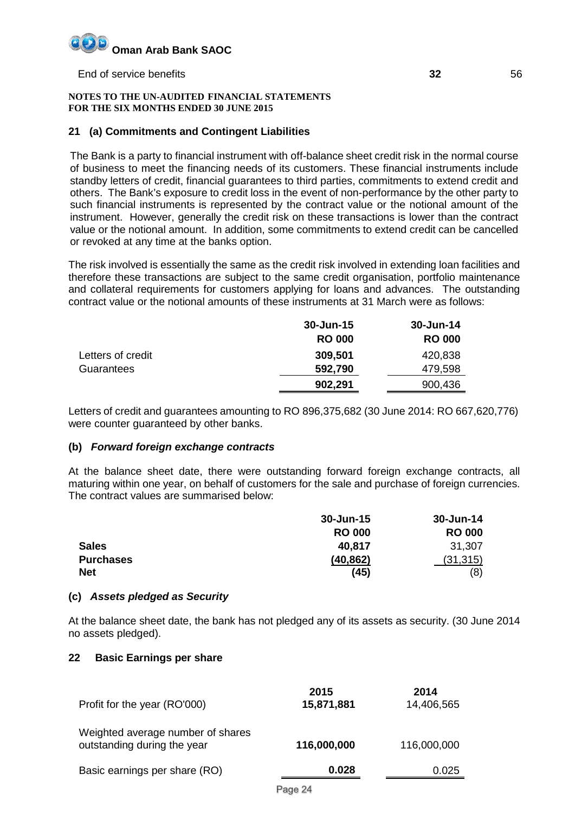

End of service benefits **32** 56

#### **NOTES TO THE UN-AUDITED FINANCIAL STATEMENTS FOR THE SIX MONTHS ENDED 30 JUNE 2015**

#### **21 (a) Commitments and Contingent Liabilities**

The Bank is a party to financial instrument with off-balance sheet credit risk in the normal course of business to meet the financing needs of its customers. These financial instruments include standby letters of credit, financial guarantees to third parties, commitments to extend credit and others. The Bank's exposure to credit loss in the event of non-performance by the other party to such financial instruments is represented by the contract value or the notional amount of the instrument. However, generally the credit risk on these transactions is lower than the contract value or the notional amount. In addition, some commitments to extend credit can be cancelled or revoked at any time at the banks option.

The risk involved is essentially the same as the credit risk involved in extending loan facilities and therefore these transactions are subject to the same credit organisation, portfolio maintenance and collateral requirements for customers applying for loans and advances. The outstanding contract value or the notional amounts of these instruments at 31 March were as follows:

|                   | 30-Jun-15     | 30-Jun-14     |
|-------------------|---------------|---------------|
|                   | <b>RO 000</b> | <b>RO 000</b> |
| Letters of credit | 309,501       | 420,838       |
| Guarantees        | 592,790       | 479,598       |
|                   | 902,291       | 900,436       |

Letters of credit and guarantees amounting to RO 896,375,682 (30 June 2014: RO 667,620,776) were counter guaranteed by other banks.

#### **(b)** *Forward foreign exchange contracts*

At the balance sheet date, there were outstanding forward foreign exchange contracts, all maturing within one year, on behalf of customers for the sale and purchase of foreign currencies. The contract values are summarised below:

|                  | 30-Jun-15     | 30-Jun-14     |
|------------------|---------------|---------------|
|                  | <b>RO 000</b> | <b>RO 000</b> |
| <b>Sales</b>     | 40,817        | 31,307        |
| <b>Purchases</b> | (40, 862)     | (31, 315)     |
| <b>Net</b>       | (45)          | (8)           |

#### **(c)** *Assets pledged as Security*

At the balance sheet date, the bank has not pledged any of its assets as security. (30 June 2014 no assets pledged).

#### **22 Basic Earnings per share**

| Profit for the year (RO'000)                                     | 2015<br>15,871,881 | 2014<br>14,406,565 |
|------------------------------------------------------------------|--------------------|--------------------|
| Weighted average number of shares<br>outstanding during the year | 116,000,000        | 116,000,000        |
| Basic earnings per share (RO)                                    | 0.028              | 0.025              |

Page 24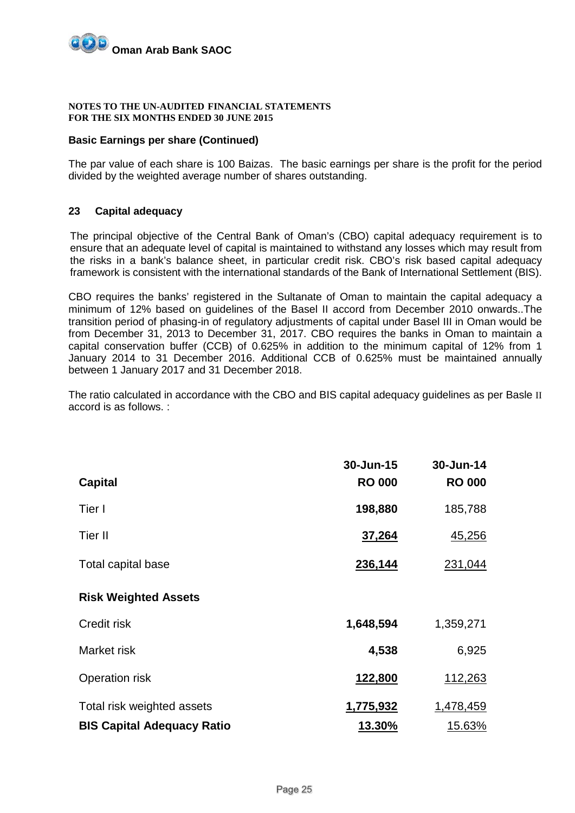

#### **Basic Earnings per share (Continued)**

The par value of each share is 100 Baizas. The basic earnings per share is the profit for the period divided by the weighted average number of shares outstanding.

#### **23 Capital adequacy**

The principal objective of the Central Bank of Oman's (CBO) capital adequacy requirement is to ensure that an adequate level of capital is maintained to withstand any losses which may result from the risks in a bank's balance sheet, in particular credit risk. CBO's risk based capital adequacy framework is consistent with the international standards of the Bank of International Settlement (BIS).

CBO requires the banks' registered in the Sultanate of Oman to maintain the capital adequacy a minimum of 12% based on guidelines of the Basel II accord from December 2010 onwards..The transition period of phasing-in of regulatory adjustments of capital under Basel III in Oman would be from December 31, 2013 to December 31, 2017. CBO requires the banks in Oman to maintain a capital conservation buffer (CCB) of 0.625% in addition to the minimum capital of 12% from 1 January 2014 to 31 December 2016. Additional CCB of 0.625% must be maintained annually between 1 January 2017 and 31 December 2018.

The ratio calculated in accordance with the CBO and BIS capital adequacy guidelines as per Basle II accord is as follows. :

| <b>Capital</b>                                                  | 30-Jun-15<br><b>RO 000</b> | 30-Jun-14<br><b>RO 000</b> |
|-----------------------------------------------------------------|----------------------------|----------------------------|
| Tier I                                                          | 198,880                    | 185,788                    |
| Tier II                                                         | 37,264                     | 45,256                     |
| Total capital base                                              | 236,144                    | 231,044                    |
| <b>Risk Weighted Assets</b>                                     |                            |                            |
| Credit risk                                                     | 1,648,594                  | 1,359,271                  |
| Market risk                                                     | 4,538                      | 6,925                      |
| Operation risk                                                  | 122,800                    | 112,263                    |
| Total risk weighted assets<br><b>BIS Capital Adequacy Ratio</b> | 1,775,932<br><u>13.30%</u> | 1,478,459<br><u>15.63%</u> |